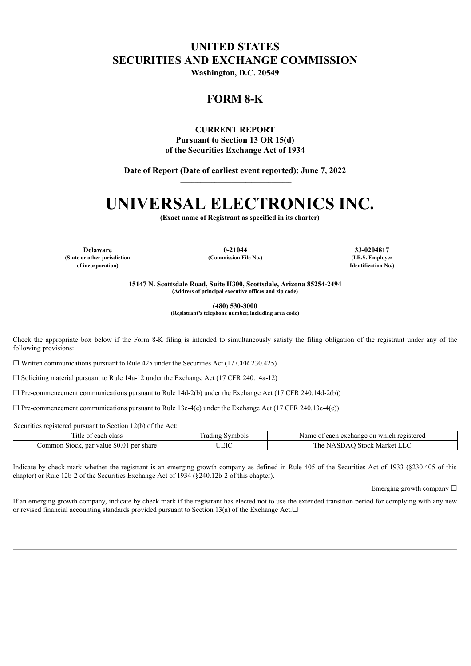## **UNITED STATES SECURITIES AND EXCHANGE COMMISSION**

**Washington, D.C. 20549** \_\_\_\_\_\_\_\_\_\_\_\_\_\_\_\_\_\_\_\_\_\_\_\_\_\_\_\_\_\_\_\_\_\_\_\_\_\_\_

### **FORM 8-K**  $\mathcal{L}_\text{max}$

**CURRENT REPORT Pursuant to Section 13 OR 15(d) of the Securities Exchange Act of 1934**

**Date of Report (Date of earliest event reported): June 7, 2022**  $\mathcal{L}_\text{max}$ 

# **UNIVERSAL ELECTRONICS INC.**

**(Exact name of Registrant as specified in its charter)** \_\_\_\_\_\_\_\_\_\_\_\_\_\_\_\_\_\_\_\_\_\_\_\_\_\_\_\_\_\_\_\_\_\_\_\_\_\_\_

**Delaware 0-21044 33-0204817 (State or other jurisdiction (Commission File No.) (I.R.S. Employer**

**of incorporation) Identification No.)**

**15147 N. Scottsdale Road, Suite H300, Scottsdale, Arizona 85254-2494 (Address of principal executive offices and zip code)**

**(480) 530-3000**

**(Registrant's telephone number, including area code)**

 $\mathcal{L}_\text{max}$ 

Check the appropriate box below if the Form 8-K filing is intended to simultaneously satisfy the filing obligation of the registrant under any of the following provisions:

 $\Box$  Written communications pursuant to Rule 425 under the Securities Act (17 CFR 230.425)

 $\Box$  Soliciting material pursuant to Rule 14a-12 under the Exchange Act (17 CFR 240.14a-12)

 $\Box$  Pre-commencement communications pursuant to Rule 14d-2(b) under the Exchange Act (17 CFR 240.14d-2(b))

 $\Box$  Pre-commencement communications pursuant to Rule 13e-4(c) under the Exchange Act (17 CFR 240.13e-4(c))

Securities registered pursuant to Section 12(b) of the Act:

| ntle<br>class<br>each<br>- 01                           | . adıng "<br>symbols | registered<br>Name<br>exchange<br>-on<br>which<br>each          |
|---------------------------------------------------------|----------------------|-----------------------------------------------------------------|
| share<br>ommon<br>per<br>par<br>value<br>Stock.<br>50.0 | $\cdots$             | l he<br>Market<br>Stock.<br>$\cdots$ $\cdots$<br>N <sub>L</sub> |

Indicate by check mark whether the registrant is an emerging growth company as defined in Rule 405 of the Securities Act of 1933 (§230.405 of this chapter) or Rule 12b-2 of the Securities Exchange Act of 1934 (§240.12b-2 of this chapter).

Emerging growth company □

If an emerging growth company, indicate by check mark if the registrant has elected not to use the extended transition period for complying with any new or revised financial accounting standards provided pursuant to Section 13(a) of the Exchange Act. $□$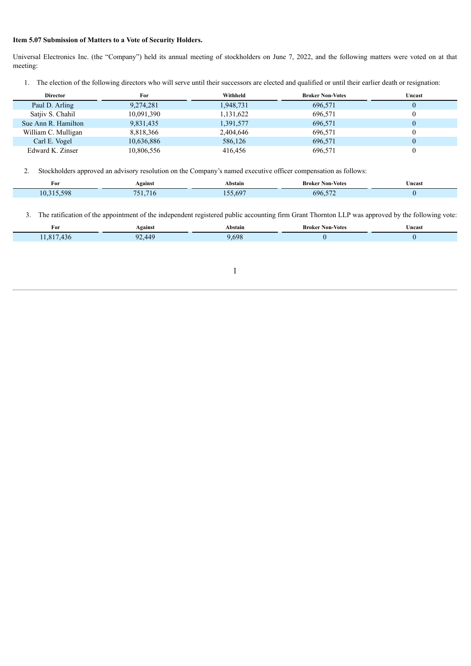#### **Item 5.07 Submission of Matters to a Vote of Security Holders.**

Universal Electronics Inc. (the "Company") held its annual meeting of stockholders on June 7, 2022, and the following matters were voted on at that meeting:

1. The election of the following directors who will serve until their successors are elected and qualified or until their earlier death or resignation:

| <b>Director</b>     | For        | Withheld  | <b>Broker Non-Votes</b> | Uncast |
|---------------------|------------|-----------|-------------------------|--------|
| Paul D. Arling      | 9,274,281  | 1,948,731 | 696,571                 |        |
| Satiiv S. Chahil    | 10,091,390 | 1,131,622 | 696,571                 |        |
| Sue Ann R. Hamilton | 9,831,435  | 1,391,577 | 696,571                 |        |
| William C. Mulligan | 8,818,366  | 2,404,646 | 696,571                 |        |
| Carl E. Vogel       | 10,636,886 | 586,126   | 696,571                 |        |
| Edward K. Zinser    | 10,806,556 | 416.456   | 696,571                 |        |

2. Stockholders approved an advisory resolution on the Company's named executive officer compensation as follows:

| ÷<br>FOI      | <b>\gainst</b> | Abstain       | -Votes<br>Broker<br>Non | ∪ncast<br>. |
|---------------|----------------|---------------|-------------------------|-------------|
| $\epsilon$ 00 | ιm             | $\epsilon$ or | $- - -$<br>691          |             |

3. The ratification of the appointment of the independent registered public accounting firm Grant Thornton LLP was approved by the following vote:

| For | Against         | Abstain     | <b>Broker Non-Votes</b><br>and the contract of the con- | ' ncas. |
|-----|-----------------|-------------|---------------------------------------------------------|---------|
| ٦r  | 449<br>$\Omega$ | 59۶<br>- 11 |                                                         |         |
|     |                 |             |                                                         |         |